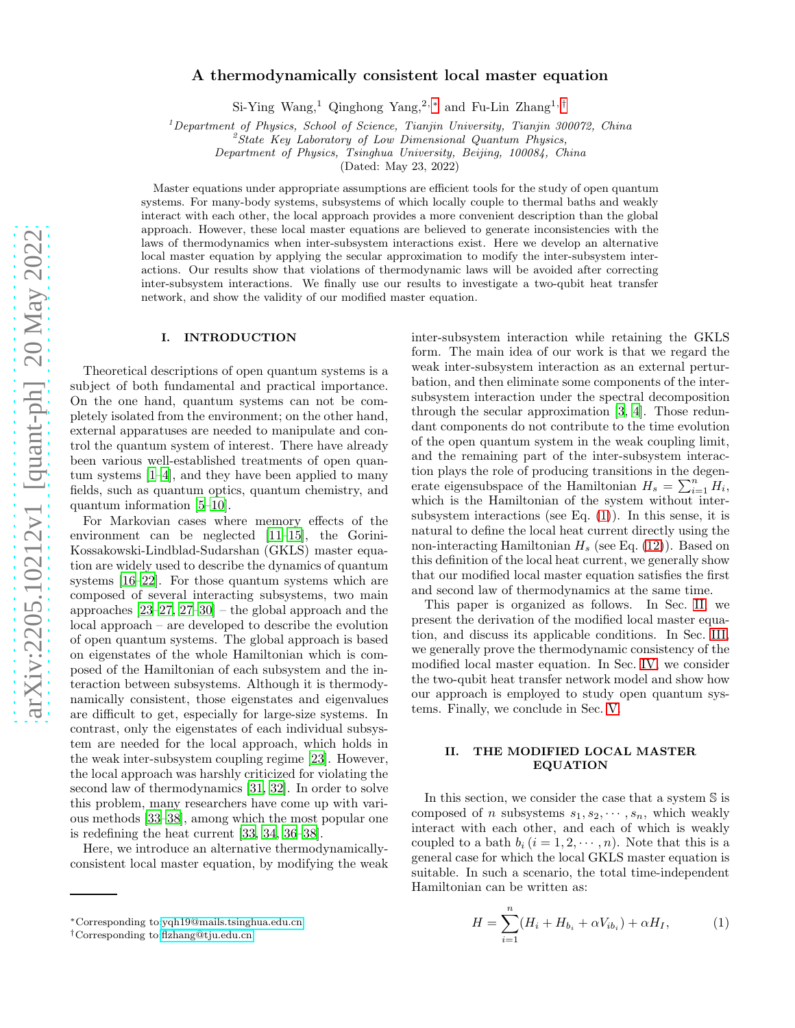# A thermodynamically consistent local master equation

Si-Ying Wang,<sup>1</sup> Qinghong Yang,<sup>2,\*</sup> and Fu-Lin Zhang<sup>1,[†](#page-0-1)</sup>

<sup>1</sup>Department of Physics, School of Science, Tianjin University, Tianjin 300072, China

<sup>2</sup>State Key Laboratory of Low Dimensional Quantum Physics,

Department of Physics, Tsinghua University, Beijing, 100084, China

(Dated: May 23, 2022)

Master equations under appropriate assumptions are efficient tools for the study of open quantum systems. For many-body systems, subsystems of which locally couple to thermal baths and weakly interact with each other, the local approach provides a more convenient description than the global approach. However, these local master equations are believed to generate inconsistencies with the laws of thermodynamics when inter-subsystem interactions exist. Here we develop an alternative local master equation by applying the secular approximation to modify the inter-subsystem interactions. Our results show that violations of thermodynamic laws will be avoided after correcting inter-subsystem interactions. We finally use our results to investigate a two-qubit heat transfer network, and show the validity of our modified master equation.

#### I. INTRODUCTION

Theoretical descriptions of open quantum systems is a subject of both fundamental and practical importance. On the one hand, quantum systems can not be completely isolated from the environment; on the other hand, external apparatuses are needed to manipulate and control the quantum system of interest. There have already been various well-established treatments of open quantum systems [\[1](#page-5-0)[–4\]](#page-5-1), and they have been applied to many fields, such as quantum optics, quantum chemistry, and quantum information [\[5](#page-5-2)[–10\]](#page-5-3).

For Markovian cases where memory effects of the environment can be neglected [\[11](#page-5-4)[–15](#page-5-5)], the Gorini-Kossakowski-Lindblad-Sudarshan (GKLS) master equation are widely used to describe the dynamics of quantum systems [\[16](#page-5-6)[–22](#page-5-7)]. For those quantum systems which are composed of several interacting subsystems, two main approaches  $[23-27, 27-30]$  – the global approach and the local approach – are developed to describe the evolution of open quantum systems. The global approach is based on eigenstates of the whole Hamiltonian which is composed of the Hamiltonian of each subsystem and the interaction between subsystems. Although it is thermodynamically consistent, those eigenstates and eigenvalues are difficult to get, especially for large-size systems. In contrast, only the eigenstates of each individual subsystem are needed for the local approach, which holds in the weak inter-subsystem coupling regime [\[23\]](#page-5-8). However, the local approach was harshly criticized for violating the second law of thermodynamics [\[31,](#page-5-11) [32](#page-6-0)]. In order to solve this problem, many researchers have come up with various methods [\[33](#page-6-1)[–38\]](#page-6-2), among which the most popular one is redefining the heat current [\[33,](#page-6-1) [34,](#page-6-3) [36](#page-6-4)[–38\]](#page-6-2).

Here, we introduce an alternative thermodynamicallyconsistent local master equation, by modifying the weak inter-subsystem interaction while retaining the GKLS form. The main idea of our work is that we regard the weak inter-subsystem interaction as an external perturbation, and then eliminate some components of the intersubsystem interaction under the spectral decomposition through the secular approximation [\[3](#page-5-12), [4\]](#page-5-1). Those redundant components do not contribute to the time evolution of the open quantum system in the weak coupling limit, and the remaining part of the inter-subsystem interaction plays the role of producing transitions in the degenerate eigensubspace of the Hamiltonian  $H_s = \sum_{i=1}^n H_i$ , which is the Hamiltonian of the system without intersubsystem interactions (see Eq. [\(1\)](#page-0-2)). In this sense, it is natural to define the local heat current directly using the non-interacting Hamiltonian  $H_s$  (see Eq. [\(12\)](#page-3-0)). Based on this definition of the local heat current, we generally show that our modified local master equation satisfies the first and second law of thermodynamics at the same time.

This paper is organized as follows. In Sec. [II,](#page-0-3) we present the derivation of the modified local master equation, and discuss its applicable conditions. In Sec. [III,](#page-3-1) we generally prove the thermodynamic consistency of the modified local master equation. In Sec. [IV,](#page-4-0) we consider the two-qubit heat transfer network model and show how our approach is employed to study open quantum systems. Finally, we conclude in Sec. [V.](#page-4-1)

### <span id="page-0-3"></span>II. THE MODIFIED LOCAL MASTER EQUATION

In this section, we consider the case that a system S is composed of n subsystems  $s_1, s_2, \dots, s_n$ , which weakly interact with each other, and each of which is weakly coupled to a bath  $b_i$   $(i = 1, 2, \dots, n)$ . Note that this is a general case for which the local GKLS master equation is suitable. In such a scenario, the total time-independent Hamiltonian can be written as:

<span id="page-0-2"></span>
$$
H = \sum_{i=1}^{n} (H_i + H_{b_i} + \alpha V_{ib_i}) + \alpha H_I,
$$
 (1)

<span id="page-0-0"></span><sup>∗</sup>Corresponding to[:yqh19@mails.tsinghua.edu.cn](mailto:yqh19@mails.tsinghua.edu.cn)

<span id="page-0-1"></span><sup>†</sup>Corresponding to[:flzhang@tju.edu.cn](mailto:flzhang@tju.edu.cn)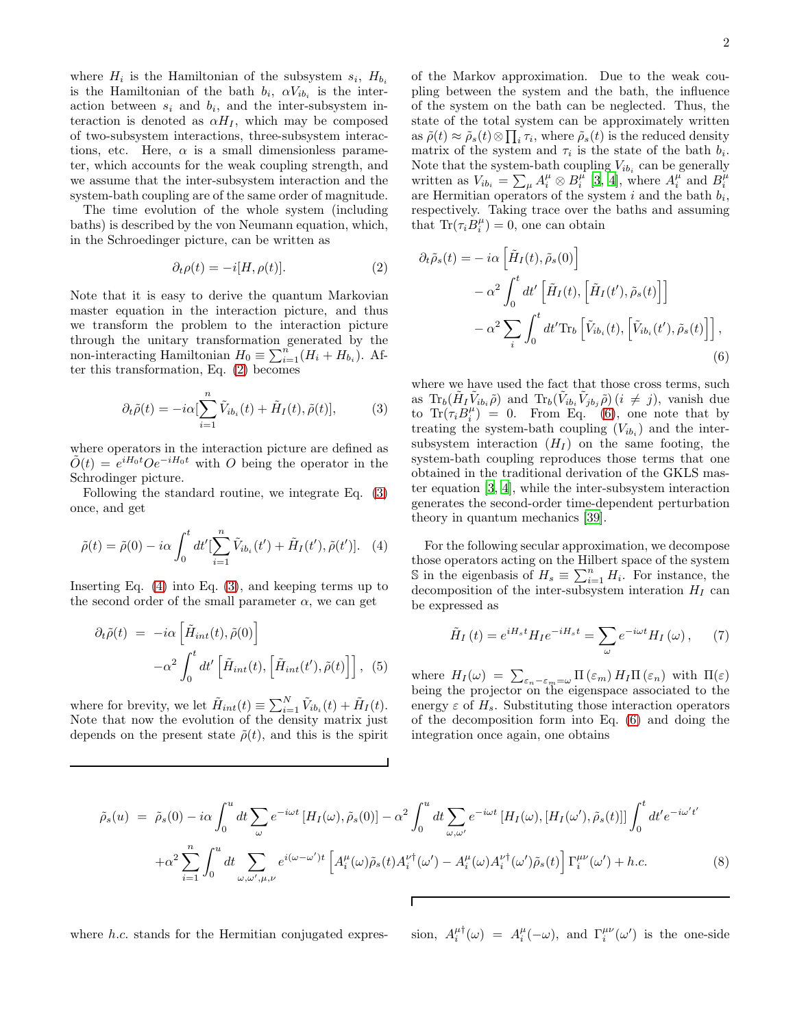where  $H_i$  is the Hamiltonian of the subsystem  $s_i$ ,  $H_{b_i}$ is the Hamiltonian of the bath  $b_i$ ,  $\alpha V_{ib_i}$  is the interaction between  $s_i$  and  $b_i$ , and the inter-subsystem interaction is denoted as  $\alpha H_I$ , which may be composed of two-subsystem interactions, three-subsystem interactions, etc. Here,  $\alpha$  is a small dimensionless parameter, which accounts for the weak coupling strength, and we assume that the inter-subsystem interaction and the system-bath coupling are of the same order of magnitude.

The time evolution of the whole system (including baths) is described by the von Neumann equation, which, in the Schroedinger picture, can be written as

$$
\partial_t \rho(t) = -i[H, \rho(t)].\tag{2}
$$

Note that it is easy to derive the quantum Markovian master equation in the interaction picture, and thus we transform the problem to the interaction picture through the unitary transformation generated by the non-interacting Hamiltonian  $H_0 \equiv \sum_{i=1}^{n} (H_i + H_{b_i})$ . After this transformation, Eq. [\(2\)](#page-1-0) becomes

<span id="page-1-1"></span>
$$
\partial_t \tilde{\rho}(t) = -i\alpha \left[\sum_{i=1}^n \tilde{V}_{ib_i}(t) + \tilde{H}_I(t), \tilde{\rho}(t)\right],\tag{3}
$$

where operators in the interaction picture are defined as  $\tilde{O}(t) = e^{iH_0t}Oe^{-iH_0t}$  with O being the operator in the Schrodinger picture.

Following the standard routine, we integrate Eq. [\(3\)](#page-1-1) once, and get

<span id="page-1-2"></span>
$$
\tilde{\rho}(t) = \tilde{\rho}(0) - i\alpha \int_0^t dt' \left[ \sum_{i=1}^n \tilde{V}_{ib_i}(t') + \tilde{H}_I(t'), \tilde{\rho}(t') \right]. \tag{4}
$$

Inserting Eq.  $(4)$  into Eq.  $(3)$ , and keeping terms up to the second order of the small parameter  $\alpha$ , we can get

<span id="page-1-5"></span>
$$
\partial_t \tilde{\rho}(t) = -i\alpha \left[ \tilde{H}_{int}(t), \tilde{\rho}(0) \right]
$$

$$
-\alpha^2 \int_0^t dt' \left[ \tilde{H}_{int}(t), \left[ \tilde{H}_{int}(t'), \tilde{\rho}(t) \right] \right], (5)
$$

where for brevity, we let  $\tilde{H}_{int}(t) \equiv \sum_{i=1}^{N} \tilde{V}_{ib_i}(t) + \tilde{H}_I(t)$ . Note that now the evolution of the density matrix just depends on the present state  $\tilde{\rho}(t)$ , and this is the spirit of the Markov approximation. Due to the weak coupling between the system and the bath, the influence of the system on the bath can be neglected. Thus, the state of the total system can be approximately written as  $\tilde{\rho}(t) \approx \tilde{\rho}_s(t) \otimes \prod_i \tau_i$ , where  $\tilde{\rho}_s(t)$  is the reduced density matrix of the system and  $\tau_i$  is the state of the bath  $b_i$ . Note that the system-bath coupling  $V_{ib_i}$  can be generally written as  $V_{ib_i} = \sum_{\mu} A_i^{\mu} \otimes B_i^{\mu}$  [\[3,](#page-5-12) [4](#page-5-1)], where  $A_i^{\mu}$  and  $B_i^{\mu}$  are Hermitian operators of the system *i* and the bath  $b_i$ , respectively. Taking trace over the baths and assuming that  $\text{Tr}(\tau_i \ddot{B}_i^{\mu}) = 0$ , one can obtain

<span id="page-1-3"></span><span id="page-1-0"></span>
$$
\partial_t \tilde{\rho}_s(t) = -i\alpha \left[ \tilde{H}_I(t), \tilde{\rho}_s(0) \right]
$$
  

$$
- \alpha^2 \int_0^t dt' \left[ \tilde{H}_I(t), \left[ \tilde{H}_I(t'), \tilde{\rho}_s(t) \right] \right]
$$
  

$$
- \alpha^2 \sum_i \int_0^t dt' \text{Tr}_b \left[ \tilde{V}_{ib_i}(t), \left[ \tilde{V}_{ib_i}(t'), \tilde{\rho}_s(t) \right] \right],
$$
  
(6)

where we have used the fact that those cross terms, such as  $\text{Tr}_b(\tilde{H}_I\tilde{V}_{ib_i}\tilde{\rho})$  and  $\text{Tr}_b(\tilde{V}_{ib_i}\tilde{V}_{jb_j}\tilde{\rho})$   $(i \neq j)$ , vanish due to  $\text{Tr}(\tau_i B_i^{\mu}) = 0$ . From Eq. [\(6\)](#page-1-3), one note that by treating the system-bath coupling  $(V_{ib_i})$  and the intersubsystem interaction  $(H_I)$  on the same footing, the system-bath coupling reproduces those terms that one obtained in the traditional derivation of the GKLS master equation [\[3,](#page-5-12) [4\]](#page-5-1), while the inter-subsystem interaction generates the second-order time-dependent perturbation theory in quantum mechanics [\[39](#page-6-5)].

For the following secular approximation, we decompose those operators acting on the Hilbert space of the system S in the eigenbasis of  $H_s \equiv \sum_{i=1}^n H_i$ . For instance, the decomposition of the inter-subsystem interation  $H_I$  can be expressed as

$$
\tilde{H}_I(t) = e^{iH_st} H_I e^{-iH_st} = \sum_{\omega} e^{-i\omega t} H_I(\omega), \quad (7)
$$

where  $H_I(\omega) = \sum_{\varepsilon_n-\varepsilon_m=\omega} \Pi(\varepsilon_m) H_I \Pi(\varepsilon_n)$  with  $\Pi(\varepsilon)$ being the projector on the eigenspace associated to the energy  $\varepsilon$  of  $H_s$ . Substituting those interaction operators of the decomposition form into Eq. [\(6\)](#page-1-3) and doing the integration once again, one obtains

<span id="page-1-4"></span>
$$
\tilde{\rho}_s(u) = \tilde{\rho}_s(0) - i\alpha \int_0^u dt \sum_{\omega} e^{-i\omega t} \left[ H_I(\omega), \tilde{\rho}_s(0) \right] - \alpha^2 \int_0^u dt \sum_{\omega, \omega'} e^{-i\omega t} \left[ H_I(\omega), \left[ H_I(\omega'), \tilde{\rho}_s(t) \right] \right] \int_0^t dt' e^{-i\omega' t'}
$$

$$
+ \alpha^2 \sum_{i=1}^n \int_0^u dt \sum_{\omega, \omega', \mu, \nu} e^{i(\omega - \omega')t} \left[ A_i^{\mu}(\omega) \tilde{\rho}_s(t) A_i^{\nu \dagger}(\omega') - A_i^{\mu}(\omega) A_i^{\nu \dagger}(\omega') \tilde{\rho}_s(t) \right] \Gamma_i^{\mu \nu}(\omega') + h.c.
$$
\n(8)

where  $h.c.$  stands for the Hermitian conjugated expres-

 $u_i^{\mu\dagger}(\omega) = A_i^{\mu}(-\omega)$ , and  $\Gamma_i^{\mu\nu}(\omega')$  is the one-side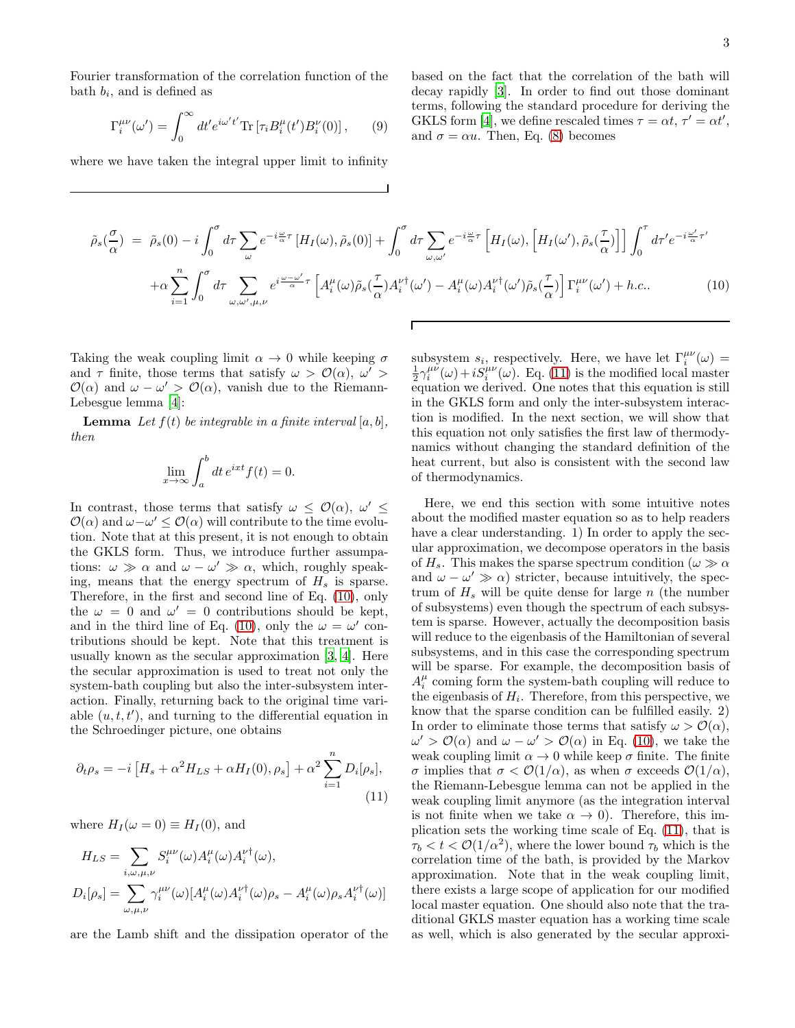Fourier transformation of the correlation function of the bath  $b_i$ , and is defined as

$$
\Gamma_i^{\mu\nu}(\omega') = \int_0^\infty dt' e^{i\omega' t'} \text{Tr} \left[ \tau_i B_i^{\mu}(t') B_i^{\nu}(0) \right],\qquad(9)
$$

where we have taken the integral upper limit to infinity

based on the fact that the correlation of the bath will decay rapidly [\[3](#page-5-12)]. In order to find out those dominant terms, following the standard procedure for deriving the GKLS form [\[4\]](#page-5-1), we define rescaled times  $\tau = \alpha t$ ,  $\tau' = \alpha t'$ , and  $\sigma = \alpha u$ . Then, Eq. [\(8\)](#page-1-4) becomes

<span id="page-2-0"></span>
$$
\tilde{\rho}_s(\frac{\sigma}{\alpha}) = \tilde{\rho}_s(0) - i \int_0^{\sigma} d\tau \sum_{\omega} e^{-i\frac{\omega}{\alpha}\tau} \left[ H_I(\omega), \tilde{\rho}_s(0) \right] + \int_0^{\sigma} d\tau \sum_{\omega,\omega'} e^{-i\frac{\omega}{\alpha}\tau} \left[ H_I(\omega), \left[ H_I(\omega'), \tilde{\rho}_s(\frac{\tau}{\alpha}) \right] \right] \int_0^{\tau} d\tau' e^{-i\frac{\omega'}{\alpha}\tau'}
$$
\n
$$
+ \alpha \sum_{i=1}^n \int_0^{\sigma} d\tau \sum_{\omega,\omega',\mu,\nu} e^{i\frac{\omega-\omega'}{\alpha}\tau} \left[ A_i^{\mu}(\omega) \tilde{\rho}_s(\frac{\tau}{\alpha}) A_i^{\nu\dagger}(\omega') - A_i^{\mu}(\omega) A_i^{\nu\dagger}(\omega') \tilde{\rho}_s(\frac{\tau}{\alpha}) \right] \Gamma_i^{\mu\nu}(\omega') + h.c.. \tag{10}
$$

Taking the weak coupling limit  $\alpha \to 0$  while keeping  $\sigma$ and  $\tau$  finite, those terms that satisfy  $\omega > \mathcal{O}(\alpha)$ ,  $\omega' >$  $\mathcal{O}(\alpha)$  and  $\omega - \omega' > \mathcal{O}(\alpha)$ , vanish due to the Riemann-Lebesgue lemma [\[4\]](#page-5-1):

**Lemma** Let  $f(t)$  be integrable in a finite interval  $[a, b]$ , then

$$
\lim_{x \to \infty} \int_{a}^{b} dt \, e^{ixt} f(t) = 0.
$$

In contrast, those terms that satisfy  $\omega \leq \mathcal{O}(\alpha)$ ,  $\omega' \leq$  $\mathcal{O}(\alpha)$  and  $\omega - \omega' \leq \mathcal{O}(\alpha)$  will contribute to the time evolution. Note that at this present, it is not enough to obtain the GKLS form. Thus, we introduce further assumpations:  $\omega \gg \alpha$  and  $\omega - \omega' \gg \alpha$ , which, roughly speaking, means that the energy spectrum of  $H_s$  is sparse. Therefore, in the first and second line of Eq. [\(10\)](#page-2-0), only the  $\omega = 0$  and  $\omega' = 0$  contributions should be kept, and in the third line of Eq. [\(10\)](#page-2-0), only the  $\omega = \omega'$  contributions should be kept. Note that this treatment is usually known as the secular approximation [\[3](#page-5-12), [4\]](#page-5-1). Here the secular approximation is used to treat not only the system-bath coupling but also the inter-subsystem interaction. Finally, returning back to the original time variable  $(u, t, t')$ , and turning to the differential equation in the Schroedinger picture, one obtains

<span id="page-2-1"></span>
$$
\partial_t \rho_s = -i \left[ H_s + \alpha^2 H_{LS} + \alpha H_I(0), \rho_s \right] + \alpha^2 \sum_{i=1}^n D_i[\rho_s],
$$
\n(11)

where  $H_I(\omega = 0) \equiv H_I(0)$ , and

$$
H_{LS} = \sum_{i,\omega,\mu,\nu} S_i^{\mu\nu}(\omega) A_i^{\mu}(\omega) A_i^{\nu\dagger}(\omega),
$$
  

$$
D_i[\rho_s] = \sum_{\omega,\mu,\nu} \gamma_i^{\mu\nu}(\omega) [A_i^{\mu}(\omega) A_i^{\nu\dagger}(\omega) \rho_s - A_i^{\mu}(\omega) \rho_s A_i^{\nu\dagger}(\omega)]
$$

are the Lamb shift and the dissipation operator of the

subsystem  $s_i$ , respectively. Here, we have let  $\Gamma_i^{\mu\nu}(\omega) =$  $\frac{1}{2}\gamma_i^{\mu\nu}(\omega) + iS_i^{\mu\nu}(\omega)$ . Eq. [\(11\)](#page-2-1) is the modified local master equation we derived. One notes that this equation is still in the GKLS form and only the inter-subsystem interaction is modified. In the next section, we will show that this equation not only satisfies the first law of thermodynamics without changing the standard definition of the heat current, but also is consistent with the second law of thermodynamics.

Here, we end this section with some intuitive notes about the modified master equation so as to help readers have a clear understanding. 1) In order to apply the secular approximation, we decompose operators in the basis of  $H_s$ . This makes the sparse spectrum condition ( $\omega \gg \alpha$ and  $\omega - \omega' \gg \alpha$ ) stricter, because intuitively, the spectrum of  $H_s$  will be quite dense for large n (the number of subsystems) even though the spectrum of each subsystem is sparse. However, actually the decomposition basis will reduce to the eigenbasis of the Hamiltonian of several subsystems, and in this case the corresponding spectrum will be sparse. For example, the decomposition basis of  $A_i^{\mu}$  coming form the system-bath coupling will reduce to the eigenbasis of  $H_i$ . Therefore, from this perspective, we know that the sparse condition can be fulfilled easily. 2) In order to eliminate those terms that satisfy  $\omega > \mathcal{O}(\alpha)$ ,  $\omega' > \mathcal{O}(\alpha)$  and  $\omega - \omega' > \mathcal{O}(\alpha)$  in Eq. [\(10\)](#page-2-0), we take the weak coupling limit  $\alpha \to 0$  while keep  $\sigma$  finite. The finite σ implies that  $\sigma < \mathcal{O}(1/\alpha)$ , as when σ exceeds  $\mathcal{O}(1/\alpha)$ , the Riemann-Lebesgue lemma can not be applied in the weak coupling limit anymore (as the integration interval is not finite when we take  $\alpha \to 0$ ). Therefore, this implication sets the working time scale of Eq. [\(11\)](#page-2-1), that is  $\tau_b < t < \mathcal{O}(1/\alpha^2)$ , where the lower bound  $\tau_b$  which is the correlation time of the bath, is provided by the Markov approximation. Note that in the weak coupling limit, there exists a large scope of application for our modified local master equation. One should also note that the traditional GKLS master equation has a working time scale as well, which is also generated by the secular approxi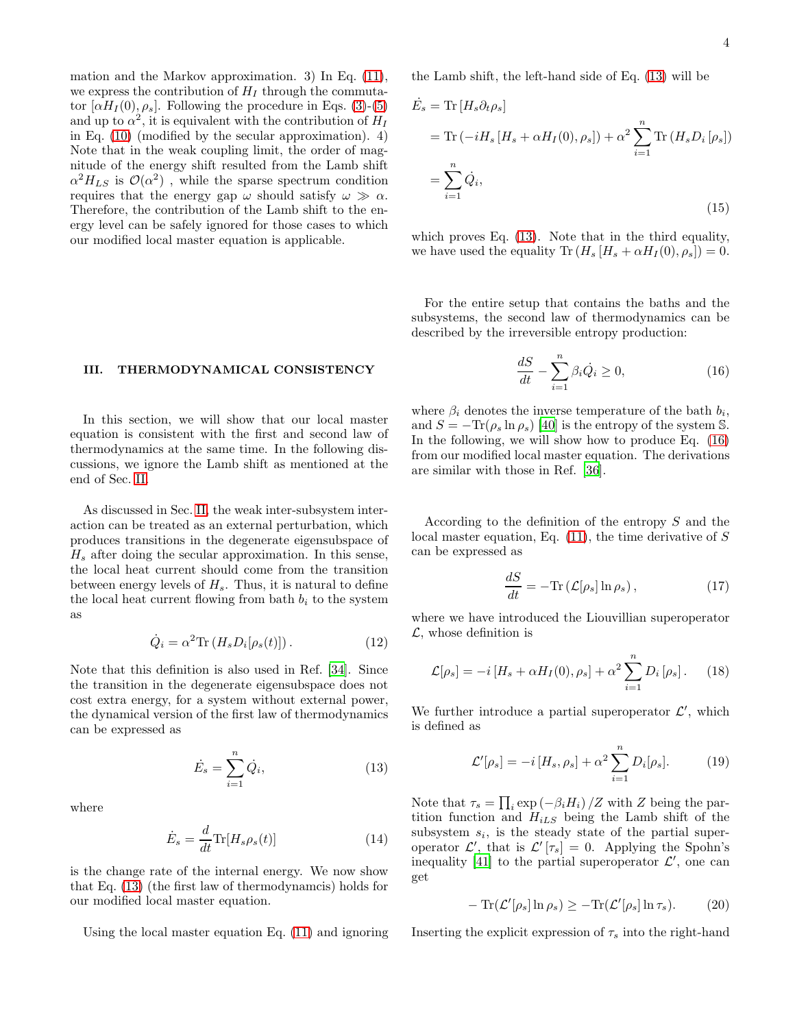mation and the Markov approximation. 3) In Eq. [\(11\)](#page-2-1), we express the contribution of  $H_I$  through the commutator  $\left[\alpha H_I(0), \rho_s\right]$ . Following the procedure in Eqs. [\(3\)](#page-1-1)-[\(5\)](#page-1-5) and up to  $\alpha^2$ , it is equivalent with the contribution of  $H_I$ in Eq. [\(10\)](#page-2-0) (modified by the secular approximation). 4) Note that in the weak coupling limit, the order of magnitude of the energy shift resulted from the Lamb shift  $\alpha^2 H_{LS}$  is  $\mathcal{O}(\alpha^2)$ , while the sparse spectrum condition requires that the energy gap  $\omega$  should satisfy  $\omega \gg \alpha$ . Therefore, the contribution of the Lamb shift to the energy level can be safely ignored for those cases to which our modified local master equation is applicable.

## <span id="page-3-1"></span>III. THERMODYNAMICAL CONSISTENCY

In this section, we will show that our local master equation is consistent with the first and second law of thermodynamics at the same time. In the following discussions, we ignore the Lamb shift as mentioned at the end of Sec. [II.](#page-0-3)

As discussed in Sec. [II,](#page-0-3) the weak inter-subsystem interaction can be treated as an external perturbation, which produces transitions in the degenerate eigensubspace of  $H_s$  after doing the secular approximation. In this sense, the local heat current should come from the transition between energy levels of  $H_s$ . Thus, it is natural to define the local heat current flowing from bath  $b_i$  to the system as

<span id="page-3-0"></span>
$$
\dot{Q}_i = \alpha^2 \text{Tr} \left( H_s D_i[\rho_s(t)] \right). \tag{12}
$$

Note that this definition is also used in Ref. [\[34](#page-6-3)]. Since the transition in the degenerate eigensubspace does not cost extra energy, for a system without external power, the dynamical version of the first law of thermodynamics can be expressed as

$$
\dot{E}_s = \sum_{i=1}^n \dot{Q}_i,\tag{13}
$$

where

$$
\dot{E}_s = \frac{d}{dt} \text{Tr}[H_s \rho_s(t)] \tag{14}
$$

is the change rate of the internal energy. We now show that Eq. [\(13\)](#page-3-2) (the first law of thermodynamcis) holds for our modified local master equation.

Using the local master equation Eq. [\(11\)](#page-2-1) and ignoring

the Lamb shift, the left-hand side of Eq. [\(13\)](#page-3-2) will be

$$
\dot{E}_s = \text{Tr} [H_s \partial_t \rho_s]
$$
  
=  $\text{Tr} (-iH_s [H_s + \alpha H_I(0), \rho_s]) + \alpha^2 \sum_{i=1}^n \text{Tr} (H_s D_i [\rho_s])$   
=  $\sum_{i=1}^n \dot{Q}_i,$  (15)

which proves Eq. [\(13\)](#page-3-2). Note that in the third equality, we have used the equality  $\text{Tr} (H_s [H_s + \alpha H_I(0), \rho_s]) = 0.$ 

For the entire setup that contains the baths and the subsystems, the second law of thermodynamics can be described by the irreversible entropy production:

<span id="page-3-3"></span>
$$
\frac{dS}{dt} - \sum_{i=1}^{n} \beta_i \dot{Q}_i \ge 0,
$$
\n(16)

where  $\beta_i$  denotes the inverse temperature of the bath  $b_i$ , and  $S = -\text{Tr}(\rho_s \ln \rho_s)$  [\[40](#page-6-6)] is the entropy of the system S. In the following, we will show how to produce Eq. [\(16\)](#page-3-3) from our modified local master equation. The derivations are similar with those in Ref. [\[36\]](#page-6-4).

According to the definition of the entropy S and the local master equation, Eq. [\(11\)](#page-2-1), the time derivative of S can be expressed as

$$
\frac{dS}{dt} = -\text{Tr}\left(\mathcal{L}[\rho_s] \ln \rho_s\right),\tag{17}
$$

where we have introduced the Liouvillian superoperator  $\mathcal{L}$ , whose definition is

$$
\mathcal{L}[\rho_s] = -i[H_s + \alpha H_I(0), \rho_s] + \alpha^2 \sum_{i=1}^n D_i[\rho_s]. \tag{18}
$$

We further introduce a partial superoperator  $\mathcal{L}'$ , which is defined as

$$
\mathcal{L}'[\rho_s] = -i[H_s, \rho_s] + \alpha^2 \sum_{i=1}^n D_i[\rho_s]. \tag{19}
$$

<span id="page-3-2"></span>Note that  $\tau_s = \prod_i \exp(-\beta_i H_i) / Z$  with Z being the partition function and  $H_{iLS}$  being the Lamb shift of the subsystem  $s_i$ , is the steady state of the partial superoperator  $\mathcal{L}'$ , that is  $\mathcal{L}'[\tau_s] = 0$ . Applying the Spohn's inequality [\[41\]](#page-6-7) to the partial superoperator  $\mathcal{L}'$ , one can get

<span id="page-3-4"></span>
$$
-\operatorname{Tr}(\mathcal{L}'[\rho_s] \ln \rho_s) \ge -\operatorname{Tr}(\mathcal{L}'[\rho_s] \ln \tau_s). \tag{20}
$$

Inserting the explicit expression of  $\tau_s$  into the right-hand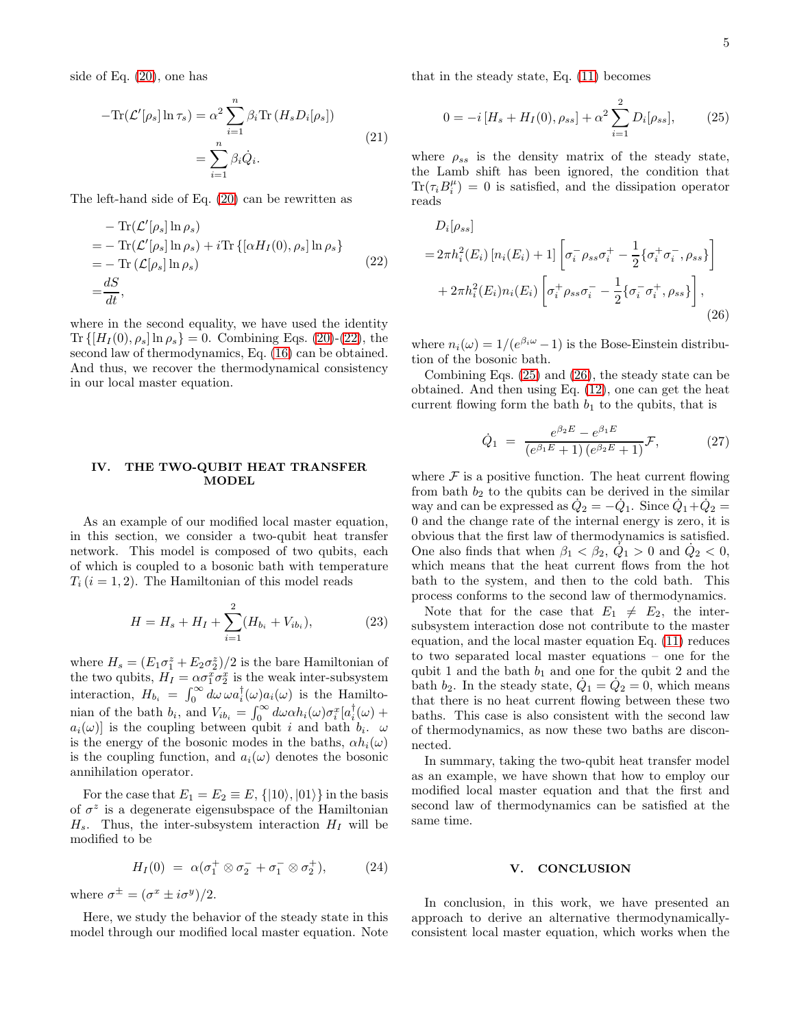side of Eq. [\(20\)](#page-3-4), one has

$$
-\text{Tr}(\mathcal{L}'[\rho_s] \ln \tau_s) = \alpha^2 \sum_{i=1}^n \beta_i \text{Tr} (H_s D_i[\rho_s])
$$

$$
= \sum_{i=1}^n \beta_i \dot{Q}_i.
$$
(21)

The left-hand side of Eq. [\(20\)](#page-3-4) can be rewritten as

<span id="page-4-2"></span>
$$
- \operatorname{Tr}(\mathcal{L}'[\rho_s] \ln \rho_s)
$$
  
= - \operatorname{Tr}(\mathcal{L}'[\rho\_s] \ln \rho\_s) + i \operatorname{Tr} \{ [\alpha H\_I(0), \rho\_s] \ln \rho\_s \}  
= - \operatorname{Tr}(\mathcal{L}[\rho\_s] \ln \rho\_s)  
= \frac{dS}{dt}, \qquad (22)

where in the second equality, we have used the identity Tr  $\{[H_I(0), \rho_s] \ln \rho_s\} = 0$ . Combining Eqs. [\(20\)](#page-3-4)-[\(22\)](#page-4-2), the second law of thermodynamics, Eq. [\(16\)](#page-3-3) can be obtained. And thus, we recover the thermodynamical consistency in our local master equation.

### <span id="page-4-0"></span>IV. THE TWO-QUBIT HEAT TRANSFER **MODEL**

As an example of our modified local master equation, in this section, we consider a two-qubit heat transfer network. This model is composed of two qubits, each of which is coupled to a bosonic bath with temperature  $T_i$  (i = 1, 2). The Hamiltonian of this model reads

$$
H = H_s + H_I + \sum_{i=1}^{2} (H_{b_i} + V_{ib_i}),
$$
\n(23)

where  $H_s = (E_1 \sigma_1^z + E_2 \sigma_2^z)/2$  is the bare Hamiltonian of where  $H_s - (210_1 + 290_2)/2$  is the bare Hammonian of<br>the two qubits,  $H_I = \alpha \sigma_I^x \sigma_2^x$  is the weak inter-subsystem interaction,  $H_{b_i} = \int_0^\infty d\omega \,\omega a_i^\dagger(\omega) a_i(\omega)$  is the Hamiltonian of the bath  $b_i$ , and  $V_{ib_i} = \int_0^\infty d\omega \alpha h_i(\omega) \sigma_i^x [a_i^\dagger(\omega) +$  $a_i(\omega)$  is the coupling between qubit i and bath  $b_i$ .  $\omega$ is the energy of the bosonic modes in the baths,  $\alpha h_i(\omega)$ is the coupling function, and  $a_i(\omega)$  denotes the bosonic annihilation operator.

For the case that  $E_1 = E_2 \equiv E$ ,  $\{ |10\rangle, |01\rangle \}$  in the basis of  $\sigma^z$  is a degenerate eigensubspace of the Hamiltonian  $H_s$ . Thus, the inter-subsystem interaction  $H_I$  will be modified to be

$$
H_I(0) = \alpha(\sigma_1^+ \otimes \sigma_2^- + \sigma_1^- \otimes \sigma_2^+), \tag{24}
$$

where  $\sigma^{\pm} = (\sigma^x \pm i\sigma^y)/2$ .

Here, we study the behavior of the steady state in this model through our modified local master equation. Note that in the steady state, Eq. [\(11\)](#page-2-1) becomes

<span id="page-4-3"></span>
$$
0 = -i[H_s + H_I(0), \rho_{ss}] + \alpha^2 \sum_{i=1}^2 D_i[\rho_{ss}], \qquad (25)
$$

where  $\rho_{ss}$  is the density matrix of the steady state, the Lamb shift has been ignored, the condition that  $\text{Tr}(\tau_i B_i^{\mu}) = 0$  is satisfied, and the dissipation operator reads

<span id="page-4-4"></span>
$$
D_i[\rho_{ss}]
$$
  
=  $2\pi h_i^2(E_i) [n_i(E_i) + 1] \left[ \sigma_i^- \rho_{ss} \sigma_i^+ - \frac{1}{2} \{ \sigma_i^+ \sigma_i^- , \rho_{ss} \} \right]$   
+  $2\pi h_i^2(E_i) n_i(E_i) \left[ \sigma_i^+ \rho_{ss} \sigma_i^- - \frac{1}{2} \{ \sigma_i^- \sigma_i^+ , \rho_{ss} \} \right],$  (26)

where  $n_i(\omega) = 1/(e^{\beta_i \omega} - 1)$  is the Bose-Einstein distribution of the bosonic bath.

Combining Eqs. [\(25\)](#page-4-3) and [\(26\)](#page-4-4), the steady state can be obtained. And then using Eq. [\(12\)](#page-3-0), one can get the heat current flowing form the bath  $b_1$  to the qubits, that is

$$
\dot{Q}_1 = \frac{e^{\beta_2 E} - e^{\beta_1 E}}{(e^{\beta_1 E} + 1)(e^{\beta_2 E} + 1)} \mathcal{F},\tag{27}
$$

where  $\mathcal F$  is a positive function. The heat current flowing from bath  $b_2$  to the qubits can be derived in the similar way and can be expressed as  $\dot{Q}_2 = -\dot{Q}_1$ . Since  $\dot{Q}_1 + \dot{Q}_2 =$ 0 and the change rate of the internal energy is zero, it is obvious that the first law of thermodynamics is satisfied. One also finds that when  $\beta_1 < \beta_2$ ,  $\check{Q}_1 > 0$  and  $\dot{Q}_2 < 0$ , which means that the heat current flows from the hot bath to the system, and then to the cold bath. This process conforms to the second law of thermodynamics.

Note that for the case that  $E_1 \neq E_2$ , the intersubsystem interaction dose not contribute to the master equation, and the local master equation Eq. [\(11\)](#page-2-1) reduces to two separated local master equations – one for the qubit 1 and the bath  $b_1$  and one for the qubit 2 and the bath  $b_2$ . In the steady state,  $\dot{Q}_1 = \dot{Q}_2 = 0$ , which means that there is no heat current flowing between these two baths. This case is also consistent with the second law of thermodynamics, as now these two baths are disconnected.

In summary, taking the two-qubit heat transfer model as an example, we have shown that how to employ our modified local master equation and that the first and second law of thermodynamics can be satisfied at the same time.

### <span id="page-4-1"></span>V. CONCLUSION

In conclusion, in this work, we have presented an approach to derive an alternative thermodynamicallyconsistent local master equation, which works when the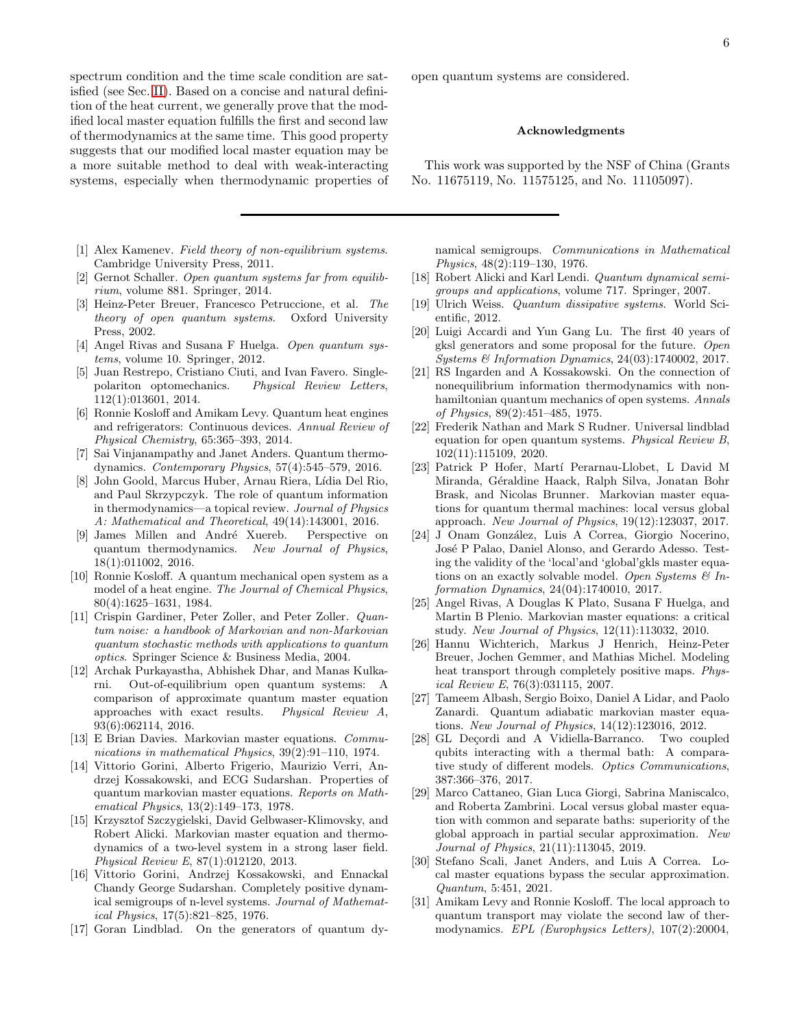spectrum condition and the time scale condition are satisfied (see Sec. [II\)](#page-0-3). Based on a concise and natural definition of the heat current, we generally prove that the modified local master equation fulfills the first and second law of thermodynamics at the same time. This good property suggests that our modified local master equation may be a more suitable method to deal with weak-interacting systems, especially when thermodynamic properties of

- <span id="page-5-0"></span>[1] Alex Kamenev. Field theory of non-equilibrium systems. Cambridge University Press, 2011.
- [2] Gernot Schaller. Open quantum systems far from equilibrium, volume 881. Springer, 2014.
- <span id="page-5-12"></span>[3] Heinz-Peter Breuer, Francesco Petruccione, et al. The theory of open quantum systems. Oxford University Press, 2002.
- <span id="page-5-1"></span>[4] Angel Rivas and Susana F Huelga. Open quantum systems, volume 10. Springer, 2012.
- <span id="page-5-2"></span>[5] Juan Restrepo, Cristiano Ciuti, and Ivan Favero. Singlepolariton optomechanics. Physical Review Letters, 112(1):013601, 2014.
- [6] Ronnie Kosloff and Amikam Levy. Quantum heat engines and refrigerators: Continuous devices. Annual Review of Physical Chemistry, 65:365–393, 2014.
- [7] Sai Vinjanampathy and Janet Anders. Quantum thermodynamics. Contemporary Physics, 57(4):545–579, 2016.
- [8] John Goold, Marcus Huber, Arnau Riera, Lídia Del Rio, and Paul Skrzypczyk. The role of quantum information in thermodynamics—a topical review. Journal of Physics A: Mathematical and Theoretical, 49(14):143001, 2016.
- [9] James Millen and André Xuereb. Perspective on quantum thermodynamics. New Journal of Physics, 18(1):011002, 2016.
- <span id="page-5-3"></span>[10] Ronnie Kosloff. A quantum mechanical open system as a model of a heat engine. The Journal of Chemical Physics, 80(4):1625–1631, 1984.
- <span id="page-5-4"></span>[11] Crispin Gardiner, Peter Zoller, and Peter Zoller. *Quan*tum noise: a handbook of Markovian and non-Markovian quantum stochastic methods with applications to quantum optics. Springer Science & Business Media, 2004.
- [12] Archak Purkayastha, Abhishek Dhar, and Manas Kulkarni. Out-of-equilibrium open quantum systems: A comparison of approximate quantum master equation approaches with exact results. Physical Review A, 93(6):062114, 2016.
- [13] E Brian Davies. Markovian master equations. Communications in mathematical Physics, 39(2):91–110, 1974.
- [14] Vittorio Gorini, Alberto Frigerio, Maurizio Verri, Andrzej Kossakowski, and ECG Sudarshan. Properties of quantum markovian master equations. Reports on Mathematical Physics, 13(2):149–173, 1978.
- <span id="page-5-5"></span>[15] Krzysztof Szczygielski, David Gelbwaser-Klimovsky, and Robert Alicki. Markovian master equation and thermodynamics of a two-level system in a strong laser field. Physical Review E, 87(1):012120, 2013.
- <span id="page-5-6"></span>[16] Vittorio Gorini, Andrzej Kossakowski, and Ennackal Chandy George Sudarshan. Completely positive dynamical semigroups of n-level systems. Journal of Mathematical Physics, 17(5):821–825, 1976.
- [17] Goran Lindblad. On the generators of quantum dy-

open quantum systems are considered.

### Acknowledgments

This work was supported by the NSF of China (Grants No. 11675119, No. 11575125, and No. 11105097).

namical semigroups. Communications in Mathematical Physics, 48(2):119–130, 1976.

- [18] Robert Alicki and Karl Lendi. *Quantum dynamical semi*groups and applications, volume 717. Springer, 2007.
- [19] Ulrich Weiss. Quantum dissipative systems. World Scientific, 2012.
- [20] Luigi Accardi and Yun Gang Lu. The first 40 years of gksl generators and some proposal for the future. Open Systems & Information Dynamics, 24(03):1740002, 2017.
- [21] RS Ingarden and A Kossakowski. On the connection of nonequilibrium information thermodynamics with nonhamiltonian quantum mechanics of open systems. Annals of Physics, 89(2):451–485, 1975.
- <span id="page-5-7"></span>[22] Frederik Nathan and Mark S Rudner. Universal lindblad equation for open quantum systems. Physical Review B, 102(11):115109, 2020.
- <span id="page-5-8"></span>[23] Patrick P Hofer, Martí Perarnau-Llobet, L David M Miranda, Géraldine Haack, Ralph Silva, Jonatan Bohr Brask, and Nicolas Brunner. Markovian master equations for quantum thermal machines: local versus global approach. New Journal of Physics, 19(12):123037, 2017.
- [24] J Onam González, Luis A Correa, Giorgio Nocerino, José P Palao, Daniel Alonso, and Gerardo Adesso. Testing the validity of the 'local'and 'global'gkls master equations on an exactly solvable model. Open Systems  $\mathcal{B}$  Information Dynamics, 24(04):1740010, 2017.
- [25] Angel Rivas, A Douglas K Plato, Susana F Huelga, and Martin B Plenio. Markovian master equations: a critical study. New Journal of Physics, 12(11):113032, 2010.
- [26] Hannu Wichterich, Markus J Henrich, Heinz-Peter Breuer, Jochen Gemmer, and Mathias Michel. Modeling heat transport through completely positive maps. Physical Review E, 76(3):031115, 2007.
- <span id="page-5-9"></span>[27] Tameem Albash, Sergio Boixo, Daniel A Lidar, and Paolo Zanardi. Quantum adiabatic markovian master equations. New Journal of Physics, 14(12):123016, 2012.
- [28] GL Deçordi and A Vidiella-Barranco. Two coupled qubits interacting with a thermal bath: A comparative study of different models. Optics Communications, 387:366–376, 2017.
- [29] Marco Cattaneo, Gian Luca Giorgi, Sabrina Maniscalco, and Roberta Zambrini. Local versus global master equation with common and separate baths: superiority of the global approach in partial secular approximation. New Journal of Physics, 21(11):113045, 2019.
- <span id="page-5-10"></span>[30] Stefano Scali, Janet Anders, and Luis A Correa. Local master equations bypass the secular approximation. Quantum, 5:451, 2021.
- <span id="page-5-11"></span>[31] Amikam Levy and Ronnie Kosloff. The local approach to quantum transport may violate the second law of thermodynamics. EPL (Europhysics Letters), 107(2):20004,